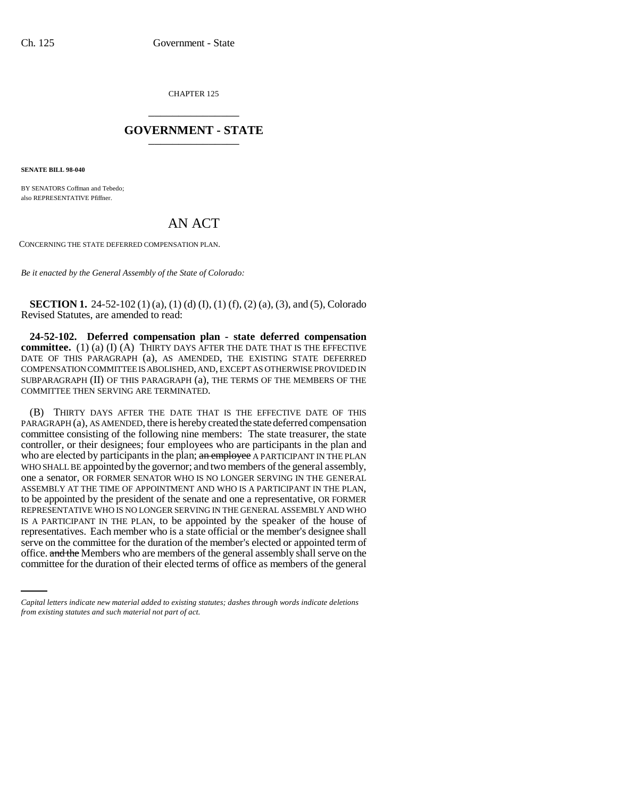CHAPTER 125 \_\_\_\_\_\_\_\_\_\_\_\_\_\_\_

## **GOVERNMENT - STATE** \_\_\_\_\_\_\_\_\_\_\_\_\_\_\_

**SENATE BILL 98-040**

BY SENATORS Coffman and Tebedo; also REPRESENTATIVE Pfiffner.

## AN ACT

CONCERNING THE STATE DEFERRED COMPENSATION PLAN.

*Be it enacted by the General Assembly of the State of Colorado:*

**SECTION 1.** 24-52-102 (1) (a), (1) (d) (I), (1) (f), (2) (a), (3), and (5), Colorado Revised Statutes, are amended to read:

**24-52-102. Deferred compensation plan - state deferred compensation committee.** (1) (a) (I) (A) THIRTY DAYS AFTER THE DATE THAT IS THE EFFECTIVE DATE OF THIS PARAGRAPH (a), AS AMENDED, THE EXISTING STATE DEFERRED COMPENSATION COMMITTEE IS ABOLISHED, AND, EXCEPT AS OTHERWISE PROVIDED IN SUBPARAGRAPH (II) OF THIS PARAGRAPH (a), THE TERMS OF THE MEMBERS OF THE COMMITTEE THEN SERVING ARE TERMINATED.

serve on the committee for the duration of the member's elected or appointed term of (B) THIRTY DAYS AFTER THE DATE THAT IS THE EFFECTIVE DATE OF THIS PARAGRAPH (a), AS AMENDED, there is hereby created the state deferred compensation committee consisting of the following nine members: The state treasurer, the state controller, or their designees; four employees who are participants in the plan and who are elected by participants in the plan; an employee A PARTICIPANT IN THE PLAN WHO SHALL BE appointed by the governor; and two members of the general assembly, one a senator, OR FORMER SENATOR WHO IS NO LONGER SERVING IN THE GENERAL ASSEMBLY AT THE TIME OF APPOINTMENT AND WHO IS A PARTICIPANT IN THE PLAN, to be appointed by the president of the senate and one a representative, OR FORMER REPRESENTATIVE WHO IS NO LONGER SERVING IN THE GENERAL ASSEMBLY AND WHO IS A PARTICIPANT IN THE PLAN, to be appointed by the speaker of the house of representatives. Each member who is a state official or the member's designee shall office. and the Members who are members of the general assembly shall serve on the committee for the duration of their elected terms of office as members of the general

*Capital letters indicate new material added to existing statutes; dashes through words indicate deletions from existing statutes and such material not part of act.*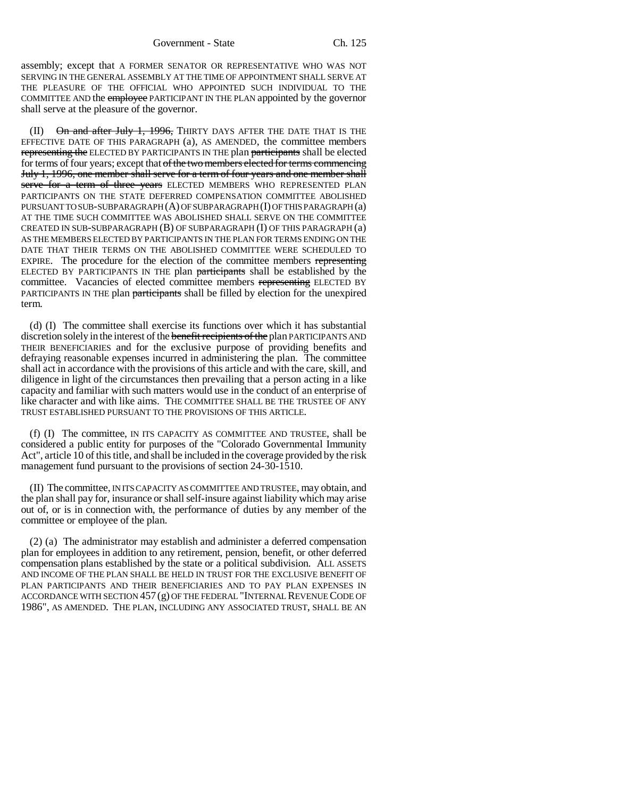assembly; except that A FORMER SENATOR OR REPRESENTATIVE WHO WAS NOT SERVING IN THE GENERAL ASSEMBLY AT THE TIME OF APPOINTMENT SHALL SERVE AT THE PLEASURE OF THE OFFICIAL WHO APPOINTED SUCH INDIVIDUAL TO THE COMMITTEE AND the employee PARTICIPANT IN THE PLAN appointed by the governor shall serve at the pleasure of the governor.

 $(II)$  On and after July 1, 1996, THIRTY DAYS AFTER THE DATE THAT IS THE EFFECTIVE DATE OF THIS PARAGRAPH (a), AS AMENDED, the committee members representing the ELECTED BY PARTICIPANTS IN THE plan participants shall be elected for terms of four years; except that of the two members elected for terms commencing July 1, 1996, one member shall serve for a term of four years and one member shall serve for a term of three years ELECTED MEMBERS WHO REPRESENTED PLAN PARTICIPANTS ON THE STATE DEFERRED COMPENSATION COMMITTEE ABOLISHED PURSUANT TO SUB-SUBPARAGRAPH (A) OF SUBPARAGRAPH (I) OF THIS PARAGRAPH (a) AT THE TIME SUCH COMMITTEE WAS ABOLISHED SHALL SERVE ON THE COMMITTEE CREATED IN SUB-SUBPARAGRAPH  $(B)$  OF SUBPARAGRAPH  $(I)$  OF THIS PARAGRAPH  $(a)$ AS THE MEMBERS ELECTED BY PARTICIPANTS IN THE PLAN FOR TERMS ENDING ON THE DATE THAT THEIR TERMS ON THE ABOLISHED COMMITTEE WERE SCHEDULED TO EXPIRE. The procedure for the election of the committee members representing ELECTED BY PARTICIPANTS IN THE plan participants shall be established by the committee. Vacancies of elected committee members representing ELECTED BY PARTICIPANTS IN THE plan participants shall be filled by election for the unexpired term.

(d) (I) The committee shall exercise its functions over which it has substantial discretion solely in the interest of the benefit recipients of the plan PARTICIPANTS AND THEIR BENEFICIARIES and for the exclusive purpose of providing benefits and defraying reasonable expenses incurred in administering the plan. The committee shall act in accordance with the provisions of this article and with the care, skill, and diligence in light of the circumstances then prevailing that a person acting in a like capacity and familiar with such matters would use in the conduct of an enterprise of like character and with like aims. THE COMMITTEE SHALL BE THE TRUSTEE OF ANY TRUST ESTABLISHED PURSUANT TO THE PROVISIONS OF THIS ARTICLE.

(f) (I) The committee, IN ITS CAPACITY AS COMMITTEE AND TRUSTEE, shall be considered a public entity for purposes of the "Colorado Governmental Immunity Act", article 10 of this title, and shall be included in the coverage provided by the risk management fund pursuant to the provisions of section 24-30-1510.

(II) The committee, IN ITS CAPACITY AS COMMITTEE AND TRUSTEE, may obtain, and the plan shall pay for, insurance or shall self-insure against liability which may arise out of, or is in connection with, the performance of duties by any member of the committee or employee of the plan.

(2) (a) The administrator may establish and administer a deferred compensation plan for employees in addition to any retirement, pension, benefit, or other deferred compensation plans established by the state or a political subdivision. ALL ASSETS AND INCOME OF THE PLAN SHALL BE HELD IN TRUST FOR THE EXCLUSIVE BENEFIT OF PLAN PARTICIPANTS AND THEIR BENEFICIARIES AND TO PAY PLAN EXPENSES IN ACCORDANCE WITH SECTION 457 (g) OF THE FEDERAL "INTERNAL REVENUE CODE OF 1986", AS AMENDED. THE PLAN, INCLUDING ANY ASSOCIATED TRUST, SHALL BE AN